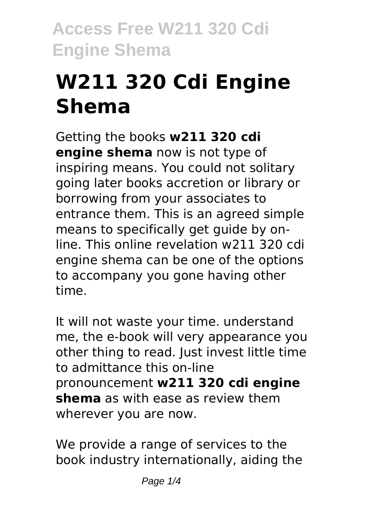# **W211 320 Cdi Engine Shema**

Getting the books **w211 320 cdi engine shema** now is not type of inspiring means. You could not solitary going later books accretion or library or borrowing from your associates to entrance them. This is an agreed simple means to specifically get guide by online. This online revelation w211 320 cdi engine shema can be one of the options to accompany you gone having other time.

It will not waste your time. understand me, the e-book will very appearance you other thing to read. Just invest little time to admittance this on-line pronouncement **w211 320 cdi engine shema** as with ease as review them wherever you are now.

We provide a range of services to the book industry internationally, aiding the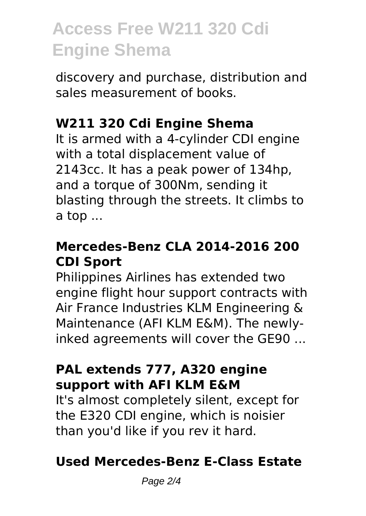discovery and purchase, distribution and sales measurement of books.

### **W211 320 Cdi Engine Shema**

It is armed with a 4-cylinder CDI engine with a total displacement value of 2143cc. It has a peak power of 134hp, and a torque of 300Nm, sending it blasting through the streets. It climbs to a top ...

### **Mercedes-Benz CLA 2014-2016 200 CDI Sport**

Philippines Airlines has extended two engine flight hour support contracts with Air France Industries KLM Engineering & Maintenance (AFI KLM E&M). The newlyinked agreements will cover the GE90 ...

#### **PAL extends 777, A320 engine support with AFI KLM E&M**

It's almost completely silent, except for the E320 CDI engine, which is noisier than you'd like if you rev it hard.

### **Used Mercedes-Benz E-Class Estate**

Page 2/4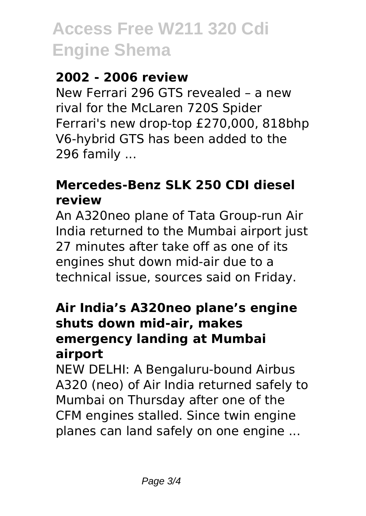### **2002 - 2006 review**

New Ferrari 296 GTS revealed – a new rival for the McLaren 720S Spider Ferrari's new drop-top £270,000, 818bhp V6-hybrid GTS has been added to the 296 family ...

### **Mercedes-Benz SLK 250 CDI diesel review**

An A320neo plane of Tata Group-run Air India returned to the Mumbai airport just 27 minutes after take off as one of its engines shut down mid-air due to a technical issue, sources said on Friday.

#### **Air India's A320neo plane's engine shuts down mid-air, makes emergency landing at Mumbai airport**

NEW DELHI: A Bengaluru-bound Airbus A320 (neo) of Air India returned safely to Mumbai on Thursday after one of the CFM engines stalled. Since twin engine planes can land safely on one engine ...